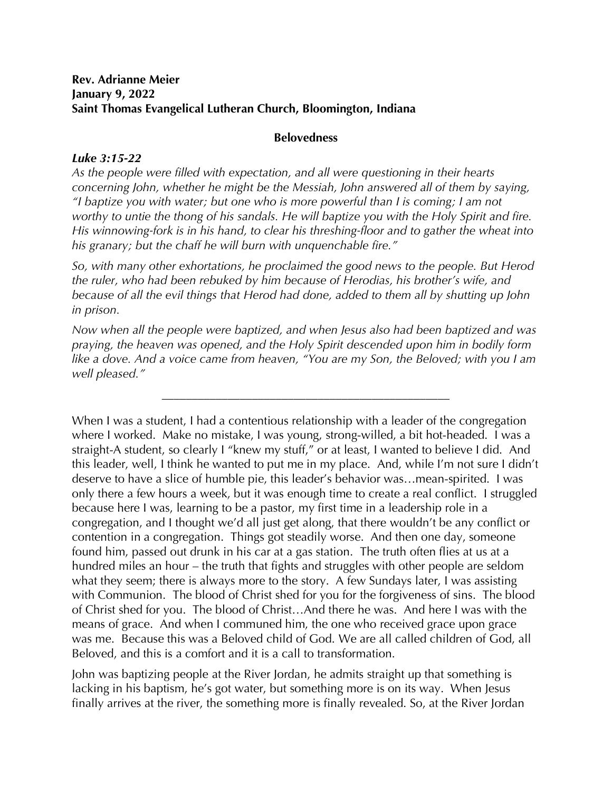## **Rev. Adrianne Meier January 9, 2022 Saint Thomas Evangelical Lutheran Church, Bloomington, Indiana**

## **Belovedness**

## *Luke 3:15-22*

*As the people were filled with expectation, and all were questioning in their hearts concerning John, whether he might be the Messiah, John answered all of them by saying, "I baptize you with water; but one who is more powerful than I is coming; I am not worthy to untie the thong of his sandals. He will baptize you with the Holy Spirit and fire. His winnowing-fork is in his hand, to clear his threshing-floor and to gather the wheat into his granary; but the chaff he will burn with unquenchable fire."*

*So, with many other exhortations, he proclaimed the good news to the people. But Herod the ruler, who had been rebuked by him because of Herodias, his brother's wife, and because of all the evil things that Herod had done, added to them all by shutting up John in prison.*

*Now when all the people were baptized, and when Jesus also had been baptized and was praying, the heaven was opened, and the Holy Spirit descended upon him in bodily form like a dove. And a voice came from heaven, "You are my Son, the Beloved; with you I am well pleased."*

\_\_\_\_\_\_\_\_\_\_\_\_\_\_\_\_\_\_\_\_\_\_\_\_\_\_\_\_\_\_\_\_\_\_\_\_\_\_\_\_\_\_\_\_\_\_\_\_

When I was a student, I had a contentious relationship with a leader of the congregation where I worked. Make no mistake, I was young, strong-willed, a bit hot-headed. I was a straight-A student, so clearly I "knew my stuff," or at least, I wanted to believe I did. And this leader, well, I think he wanted to put me in my place. And, while I'm not sure I didn't deserve to have a slice of humble pie, this leader's behavior was…mean-spirited. I was only there a few hours a week, but it was enough time to create a real conflict. I struggled because here I was, learning to be a pastor, my first time in a leadership role in a congregation, and I thought we'd all just get along, that there wouldn't be any conflict or contention in a congregation. Things got steadily worse. And then one day, someone found him, passed out drunk in his car at a gas station. The truth often flies at us at a hundred miles an hour – the truth that fights and struggles with other people are seldom what they seem; there is always more to the story. A few Sundays later, I was assisting with Communion. The blood of Christ shed for you for the forgiveness of sins. The blood of Christ shed for you. The blood of Christ…And there he was. And here I was with the means of grace. And when I communed him, the one who received grace upon grace was me. Because this was a Beloved child of God. We are all called children of God, all Beloved, and this is a comfort and it is a call to transformation.

John was baptizing people at the River Jordan, he admits straight up that something is lacking in his baptism, he's got water, but something more is on its way. When Jesus finally arrives at the river, the something more is finally revealed. So, at the River Jordan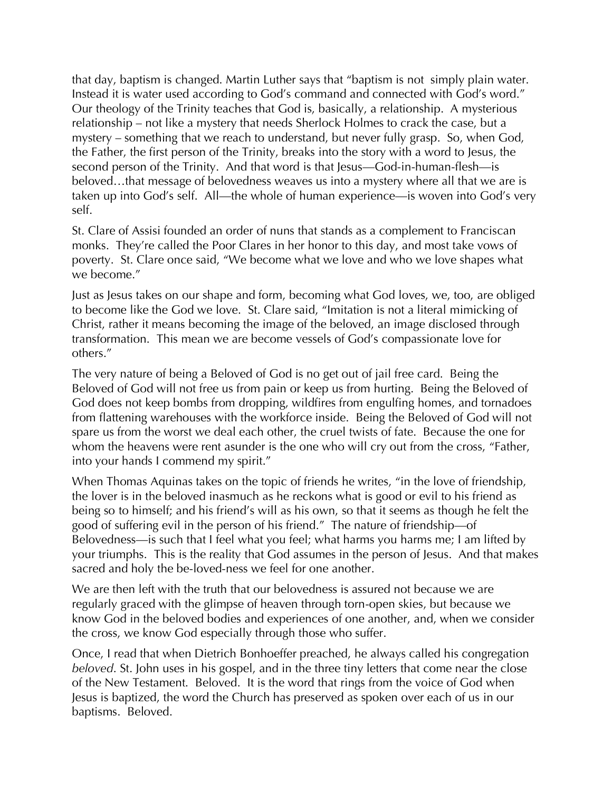that day, baptism is changed. Martin Luther says that "baptism is not simply plain water. Instead it is water used according to God's command and connected with God's word." Our theology of the Trinity teaches that God is, basically, a relationship. A mysterious relationship – not like a mystery that needs Sherlock Holmes to crack the case, but a mystery – something that we reach to understand, but never fully grasp. So, when God, the Father, the first person of the Trinity, breaks into the story with a word to Jesus, the second person of the Trinity. And that word is that Jesus—God-in-human-flesh—is beloved…that message of belovedness weaves us into a mystery where all that we are is taken up into God's self. All—the whole of human experience—is woven into God's very self.

St. Clare of Assisi founded an order of nuns that stands as a complement to Franciscan monks. They're called the Poor Clares in her honor to this day, and most take vows of poverty. St. Clare once said, "We become what we love and who we love shapes what we become."

Just as Jesus takes on our shape and form, becoming what God loves, we, too, are obliged to become like the God we love. St. Clare said, "Imitation is not a literal mimicking of Christ, rather it means becoming the image of the beloved, an image disclosed through transformation. This mean we are become vessels of God's compassionate love for others."

The very nature of being a Beloved of God is no get out of jail free card. Being the Beloved of God will not free us from pain or keep us from hurting. Being the Beloved of God does not keep bombs from dropping, wildfires from engulfing homes, and tornadoes from flattening warehouses with the workforce inside. Being the Beloved of God will not spare us from the worst we deal each other, the cruel twists of fate. Because the one for whom the heavens were rent asunder is the one who will cry out from the cross, "Father, into your hands I commend my spirit."

When Thomas Aquinas takes on the topic of friends he writes, "in the love of friendship, the lover is in the beloved inasmuch as he reckons what is good or evil to his friend as being so to himself; and his friend's will as his own, so that it seems as though he felt the good of suffering evil in the person of his friend." The nature of friendship—of Belovedness—is such that I feel what you feel; what harms you harms me; I am lifted by your triumphs. This is the reality that God assumes in the person of Jesus. And that makes sacred and holy the be-loved-ness we feel for one another.

We are then left with the truth that our belovedness is assured not because we are regularly graced with the glimpse of heaven through torn-open skies, but because we know God in the beloved bodies and experiences of one another, and, when we consider the cross, we know God especially through those who suffer.

Once, I read that when Dietrich Bonhoeffer preached, he always called his congregation *beloved*. St. John uses in his gospel, and in the three tiny letters that come near the close of the New Testament. Beloved. It is the word that rings from the voice of God when Jesus is baptized, the word the Church has preserved as spoken over each of us in our baptisms. Beloved.